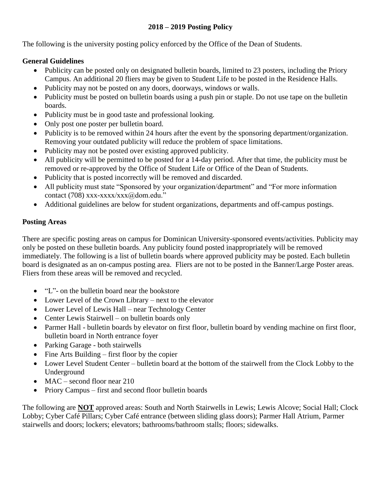#### **2018 – 2019 Posting Policy**

The following is the university posting policy enforced by the Office of the Dean of Students.

#### **General Guidelines**

- Publicity can be posted only on designated bulletin boards, limited to 23 posters, including the Priory Campus. An additional 20 fliers may be given to Student Life to be posted in the Residence Halls.
- Publicity may not be posted on any doors, doorways, windows or walls.
- Publicity must be posted on bulletin boards using a push pin or staple. Do not use tape on the bulletin boards.
- Publicity must be in good taste and professional looking.
- Only post one poster per bulletin board.
- Publicity is to be removed within 24 hours after the event by the sponsoring department/organization. Removing your outdated publicity will reduce the problem of space limitations.
- Publicity may not be posted over existing approved publicity.
- All publicity will be permitted to be posted for a 14-day period. After that time, the publicity must be removed or re-approved by the Office of Student Life or Office of the Dean of Students.
- Publicity that is posted incorrectly will be removed and discarded.
- All publicity must state "Sponsored by your organization/department" and "For more information contact (708) xxx-xxxx/xxx@dom.edu."
- Additional guidelines are below for student organizations, departments and off-campus postings.

## **Posting Areas**

There are specific posting areas on campus for Dominican University-sponsored events/activities. Publicity may only be posted on these bulletin boards. Any publicity found posted inappropriately will be removed immediately. The following is a list of bulletin boards where approved publicity may be posted. Each bulletin board is designated as an on-campus posting area. Fliers are not to be posted in the Banner/Large Poster areas. Fliers from these areas will be removed and recycled.

- "L"- on the bulletin board near the bookstore
- Lower Level of the Crown Library next to the elevator
- Lower Level of Lewis Hall near Technology Center
- Center Lewis Stairwell on bulletin boards only
- Parmer Hall bulletin boards by elevator on first floor, bulletin board by vending machine on first floor, bulletin board in North entrance foyer
- Parking Garage both stairwells
- $\bullet$  Fine Arts Building first floor by the copier
- Lower Level Student Center bulletin board at the bottom of the stairwell from the Clock Lobby to the Underground
- MAC second floor near 210
- Priory Campus first and second floor bulletin boards

The following are **NOT** approved areas: South and North Stairwells in Lewis; Lewis Alcove; Social Hall; Clock Lobby; Cyber Café Pillars; Cyber Café entrance (between sliding glass doors); Parmer Hall Atrium, Parmer stairwells and doors; lockers; elevators; bathrooms/bathroom stalls; floors; sidewalks.